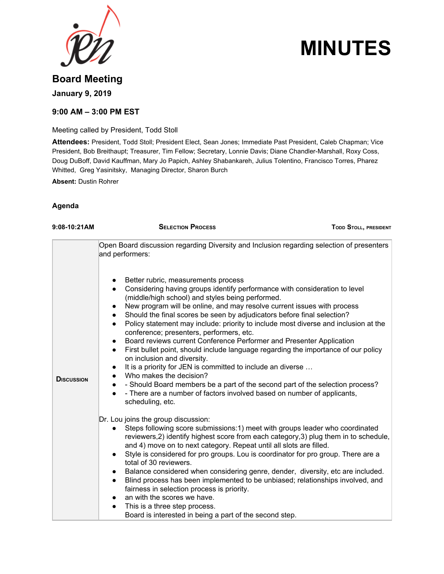

# **MINUTES**

## **Board Meeting January 9, 2019**

### **9:00 AM – 3:00 PM EST**

Meeting called by President, Todd Stoll

**Attendees:** President, Todd Stoll; President Elect, Sean Jones; Immediate Past President, Caleb Chapman; Vice President, Bob Breithaupt; Treasurer, Tim Fellow; Secretary, Lonnie Davis; Diane Chandler-Marshall, Roxy Coss, Doug DuBoff, David Kauffman, Mary Jo Papich, Ashley Shabankareh, Julius Tolentino, Francisco Torres, Pharez Whitted, Greg Yasinitsky, Managing Director, Sharon Burch

**Absent:** Dustin Rohrer

#### **Agenda**

| 9:08-10:21AM      | <b>SELECTION PROCESS</b>                                                                                                                                                                                                                                                                                                                                                                                                                                                                                                                                                                                                                                                                                                                                                                                                                                                                                                                                                                                                                                   | <b>TODD STOLL, PRESIDENT</b> |
|-------------------|------------------------------------------------------------------------------------------------------------------------------------------------------------------------------------------------------------------------------------------------------------------------------------------------------------------------------------------------------------------------------------------------------------------------------------------------------------------------------------------------------------------------------------------------------------------------------------------------------------------------------------------------------------------------------------------------------------------------------------------------------------------------------------------------------------------------------------------------------------------------------------------------------------------------------------------------------------------------------------------------------------------------------------------------------------|------------------------------|
|                   | Open Board discussion regarding Diversity and Inclusion regarding selection of presenters<br>and performers:                                                                                                                                                                                                                                                                                                                                                                                                                                                                                                                                                                                                                                                                                                                                                                                                                                                                                                                                               |                              |
| <b>DISCUSSION</b> | Better rubric, measurements process<br>Considering having groups identify performance with consideration to level<br>$\bullet$<br>(middle/high school) and styles being performed.<br>New program will be online, and may resolve current issues with process<br>$\bullet$<br>Should the final scores be seen by adjudicators before final selection?<br>$\bullet$<br>Policy statement may include: priority to include most diverse and inclusion at the<br>$\bullet$<br>conference; presenters, performers, etc.<br>Board reviews current Conference Performer and Presenter Application<br>$\bullet$<br>First bullet point, should include language regarding the importance of our policy<br>$\bullet$<br>on inclusion and diversity.<br>It is a priority for JEN is committed to include an diverse<br>$\bullet$<br>Who makes the decision?<br>$\bullet$<br>- Should Board members be a part of the second part of the selection process?<br>- There are a number of factors involved based on number of applicants,<br>$\bullet$<br>scheduling, etc. |                              |
|                   | Dr. Lou joins the group discussion:<br>Steps following score submissions: 1) meet with groups leader who coordinated<br>reviewers, 2) identify highest score from each category, 3) plug them in to schedule,<br>and 4) move on to next category. Repeat until all slots are filled.<br>Style is considered for pro groups. Lou is coordinator for pro group. There are a<br>$\bullet$<br>total of 30 reviewers.<br>Balance considered when considering genre, dender, diversity, etc are included.<br>$\bullet$<br>Blind process has been implemented to be unbiased; relationships involved, and<br>fairness in selection process is priority.<br>an with the scores we have.<br>$\bullet$<br>This is a three step process.<br>Board is interested in being a part of the second step.                                                                                                                                                                                                                                                                   |                              |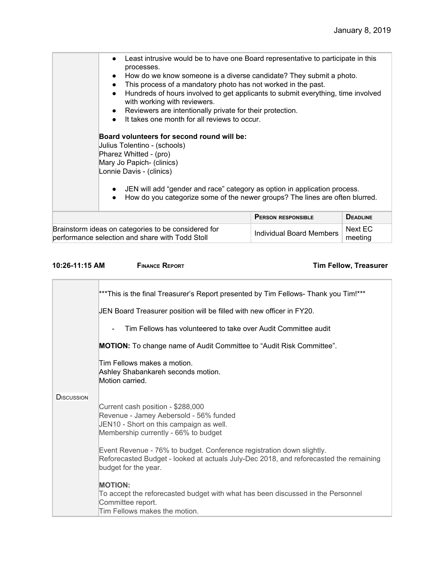| Least intrusive would be to have one Board representative to participate in this<br>$\bullet$<br>processes.<br>How do we know someone is a diverse candidate? They submit a photo.<br>This process of a mandatory photo has not worked in the past.<br>Hundreds of hours involved to get applicants to submit everything, time involved<br>$\bullet$<br>with working with reviewers.<br>Reviewers are intentionally private for their protection.<br>It takes one month for all reviews to occur.<br>Board volunteers for second round will be:<br>Julius Tolentino - (schools)<br>Pharez Whitted - (pro)<br>Mary Jo Papich- (clinics)<br>Lonnie Davis - (clinics)<br>JEN will add "gender and race" category as option in application process.<br>How do you categorize some of the newer groups? The lines are often blurred.<br>$\bullet$ |                                 |                        |
|----------------------------------------------------------------------------------------------------------------------------------------------------------------------------------------------------------------------------------------------------------------------------------------------------------------------------------------------------------------------------------------------------------------------------------------------------------------------------------------------------------------------------------------------------------------------------------------------------------------------------------------------------------------------------------------------------------------------------------------------------------------------------------------------------------------------------------------------|---------------------------------|------------------------|
|                                                                                                                                                                                                                                                                                                                                                                                                                                                                                                                                                                                                                                                                                                                                                                                                                                              | <b>PERSON RESPONSIBLE</b>       | <b>DEADLINE</b>        |
| Brainstorm ideas on categories to be considered for<br>norformanas soloetian and obara with Todd Ctoll                                                                                                                                                                                                                                                                                                                                                                                                                                                                                                                                                                                                                                                                                                                                       | <b>Individual Board Members</b> | Next EC<br>$max - 100$ |

performance selection and share with Todd Stoll

**10:26-11:15 AM FINANCE REPORT Tim Fellow, Treasurer**

meeting

|                    | ***This is the final Treasurer's Report presented by Tim Fellows- Thank you Tim!***<br>JEN Board Treasurer position will be filled with new officer in FY20.                           |
|--------------------|----------------------------------------------------------------------------------------------------------------------------------------------------------------------------------------|
|                    | Tim Fellows has volunteered to take over Audit Committee audit                                                                                                                         |
|                    | <b>MOTION:</b> To change name of Audit Committee to "Audit Risk Committee".                                                                                                            |
|                    | Tim Fellows makes a motion.<br>Ashley Shabankareh seconds motion.<br>Motion carried.                                                                                                   |
| <b>D</b> ISCUSSION | Current cash position - \$288,000<br>Revenue - Jamey Aebersold - 56% funded<br>JEN10 - Short on this campaign as well.<br>Membership currently - 66% to budget                         |
|                    | Event Revenue - 76% to budget. Conference registration down slightly.<br>Reforecasted Budget - looked at actuals July-Dec 2018, and reforecasted the remaining<br>budget for the year. |
|                    | <b>MOTION:</b><br>To accept the reforecasted budget with what has been discussed in the Personnel<br>Committee report.<br>Tim Fellows makes the motion.                                |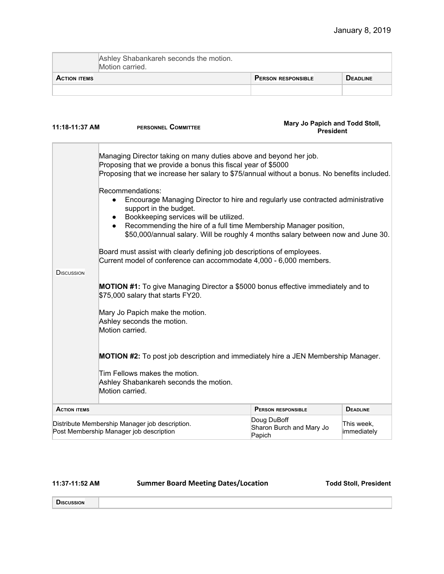|                     | Ashley Shabankareh seconds the motion.<br>Motion carried. |                           |                 |
|---------------------|-----------------------------------------------------------|---------------------------|-----------------|
| <b>ACTION ITEMS</b> |                                                           | <b>PERSON RESPONSIBLE</b> | <b>DEADLINE</b> |
|                     |                                                           |                           |                 |

| 11:18-11:37 AM                                                                            | Mary Jo Papich and Todd Stoll,<br>PERSONNEL COMMITTEE<br><b>President</b>                                                                                                                                                        |                                                                                                                                                                                                                                          |                           |
|-------------------------------------------------------------------------------------------|----------------------------------------------------------------------------------------------------------------------------------------------------------------------------------------------------------------------------------|------------------------------------------------------------------------------------------------------------------------------------------------------------------------------------------------------------------------------------------|---------------------------|
|                                                                                           | Managing Director taking on many duties above and beyond her job.<br>Proposing that we provide a bonus this fiscal year of \$5000<br>Proposing that we increase her salary to \$75/annual without a bonus. No benefits included. |                                                                                                                                                                                                                                          |                           |
|                                                                                           | Recommendations:<br>support in the budget.<br>Bookkeeping services will be utilized.                                                                                                                                             | Encourage Managing Director to hire and regularly use contracted administrative<br>Recommending the hire of a full time Membership Manager position,<br>\$50,000/annual salary. Will be roughly 4 months salary between now and June 30. |                           |
| DISCUSSION                                                                                | Board must assist with clearly defining job descriptions of employees.<br>Current model of conference can accommodate 4,000 - 6,000 members.                                                                                     |                                                                                                                                                                                                                                          |                           |
|                                                                                           | <b>MOTION #1:</b> To give Managing Director a \$5000 bonus effective immediately and to<br>\$75,000 salary that starts FY20.                                                                                                     |                                                                                                                                                                                                                                          |                           |
|                                                                                           | Mary Jo Papich make the motion.<br>Ashley seconds the motion.<br>Motion carried.                                                                                                                                                 |                                                                                                                                                                                                                                          |                           |
|                                                                                           | <b>MOTION #2:</b> To post job description and immediately hire a JEN Membership Manager.                                                                                                                                         |                                                                                                                                                                                                                                          |                           |
|                                                                                           | Tim Fellows makes the motion.<br>Ashley Shabankareh seconds the motion.<br>Motion carried.                                                                                                                                       |                                                                                                                                                                                                                                          |                           |
| <b>ACTION ITEMS</b>                                                                       |                                                                                                                                                                                                                                  | <b>PERSON RESPONSIBLE</b>                                                                                                                                                                                                                | <b>DEADLINE</b>           |
| Distribute Membership Manager job description.<br>Post Membership Manager job description |                                                                                                                                                                                                                                  | Doug DuBoff<br>Sharon Burch and Mary Jo<br>Papich                                                                                                                                                                                        | This week,<br>immediately |

**11:37-11:52 AM Summer Board Meeting Dates/Location Todd Stoll, President**

**DISCUSSION**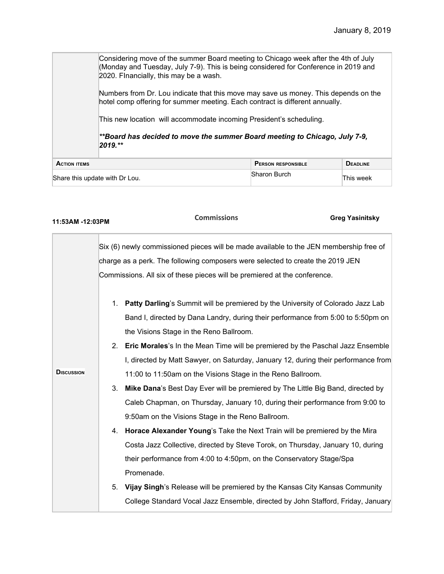Considering move of the summer Board meeting to Chicago week after the 4th of July (Monday and Tuesday, July 7-9). This is being considered for Conference in 2019 and 2020. FInancially, this may be a wash. Numbers from Dr. Lou indicate that this move may save us money. This depends on the

hotel comp offering for summer meeting. Each contract is different annually.

This new location will accommodate incoming President's scheduling.

*\*\*Board has decided to move the summer Board meeting to Chicago, July 7-9, 2019.\*\**

| <b>ACTION ITEMS</b>            | <b>PERSON RESPONSIBLE</b> | <b>DEADLINE</b> |
|--------------------------------|---------------------------|-----------------|
| Share this update with Dr Lou. | Sharon Burch              | This week       |

| 11:53AM -12:03PM  |    | <b>Commissions</b>                                                                     | <b>Greg Yasinitsky</b> |
|-------------------|----|----------------------------------------------------------------------------------------|------------------------|
|                   |    | Six (6) newly commissioned pieces will be made available to the JEN membership free of |                        |
|                   |    | charge as a perk. The following composers were selected to create the 2019 JEN         |                        |
|                   |    | Commissions. All six of these pieces will be premiered at the conference.              |                        |
|                   |    | 1. Patty Darling's Summit will be premiered by the University of Colorado Jazz Lab     |                        |
|                   |    | Band I, directed by Dana Landry, during their performance from 5:00 to 5:50pm on       |                        |
|                   |    | the Visions Stage in the Reno Ballroom.                                                |                        |
|                   |    | 2. Eric Morales's In the Mean Time will be premiered by the Paschal Jazz Ensemble      |                        |
|                   |    | I, directed by Matt Sawyer, on Saturday, January 12, during their performance from     |                        |
| <b>DISCUSSION</b> |    | 11:00 to 11:50am on the Visions Stage in the Reno Ballroom.                            |                        |
|                   | 3. | <b>Mike Dana's Best Day Ever will be premiered by The Little Big Band, directed by</b> |                        |
|                   |    | Caleb Chapman, on Thursday, January 10, during their performance from 9:00 to          |                        |
|                   |    | 9:50am on the Visions Stage in the Reno Ballroom.                                      |                        |
|                   | 4. | Horace Alexander Young's Take the Next Train will be premiered by the Mira             |                        |
|                   |    | Costa Jazz Collective, directed by Steve Torok, on Thursday, January 10, during        |                        |
|                   |    | their performance from 4:00 to 4:50pm, on the Conservatory Stage/Spa                   |                        |
|                   |    | Promenade.                                                                             |                        |
|                   | 5. | Vijay Singh's Release will be premiered by the Kansas City Kansas Community            |                        |
|                   |    | College Standard Vocal Jazz Ensemble, directed by John Stafford, Friday, January       |                        |